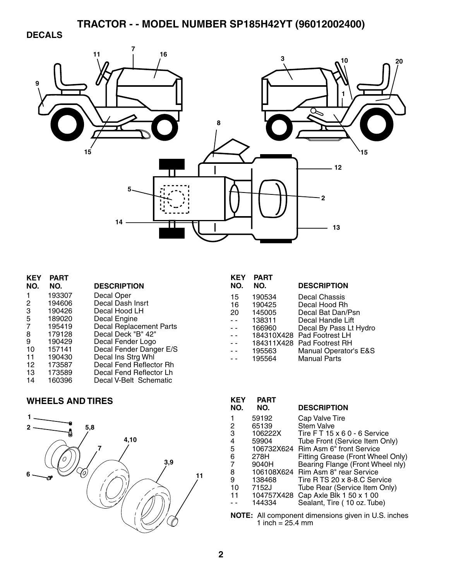### **DECALS**



| <b>KEY</b><br>NO. | <b>PART</b><br>NO. | <b>DESCRIPTION</b>             |
|-------------------|--------------------|--------------------------------|
|                   |                    |                                |
| 1                 | 193307             | Decal Oper                     |
| 2                 | 194606             | Decal Dash Insrt               |
| 3                 | 190426             | Decal Hood LH                  |
| 5                 | 189020             | Decal Engine                   |
| 7                 | 195419             | <b>Decal Replacement Parts</b> |
| 8                 | 179128             | Decal Deck "B" 42"             |
| 9                 | 190429             | Decal Fender Logo              |
| 10                | 157141             | Decal Fender Danger E/S        |
| 11                | 190430             | Decal Ins Strg Whl             |
| 12                | 173587             | Decal Fend Reflector Rh        |
| 13                | 173589             | Decal Fend Reflector Lh        |
| 14                | 160396             | Decal V-Belt Schematic         |

### **WHEELS AND TIRES**



| KEY | <b>PART</b> |                            |
|-----|-------------|----------------------------|
| NO. | NO.         | <b>DESCRIPTION</b>         |
| 15  | 190534      | Decal Chassis              |
| 16  | 190425      | Decal Hood Rh              |
| 20  | 145005      | Decal Bat Dan/Psn          |
| . . | 138311      | Decal Handle Lift          |
|     | 166960      | Decal By Pass Lt Hydro     |
|     |             | 184310X428 Pad Footrest LH |
|     | 184311X428  | Pad Footrest RH            |
|     | 195563      | Manual Operator's E&S      |
|     | 195564      | <b>Manual Parts</b>        |

| <b>KEY</b><br>NO. | <b>PART</b><br>NO. | <b>DESCRIPTION</b>                 |
|-------------------|--------------------|------------------------------------|
| 1                 | 59192              | Cap Valve Tire                     |
| 2                 | 65139              | <b>Stem Valve</b>                  |
| З                 | 106222X            | Tire FT 15 x 6 0 - 6 Service       |
| 4                 | 59904              | Tube Front (Service Item Only)     |
| 5                 | 106732X624         | Rim Asm 6" front Service           |
| 6                 | 278H               | Fitting Grease (Front Wheel Only)  |
| 7                 | 9040H              | Bearing Flange (Front Wheel nly)   |
| 8                 |                    | 106108X624 Rim Asm 8" rear Service |
| 9                 | 138468             | Tire R TS 20 x 8-8.C Service       |
| 10                | 7152J              | Tube Rear (Service Item Only)      |
| 11                | 104757X428         | Cap Axle Blk 1 50 x 1 00           |
|                   | 144334             | Sealant, Tire (10 oz. Tube)        |

**NOTE:** All component dimensions given in U.S. inches 1 inch = 25.4 mm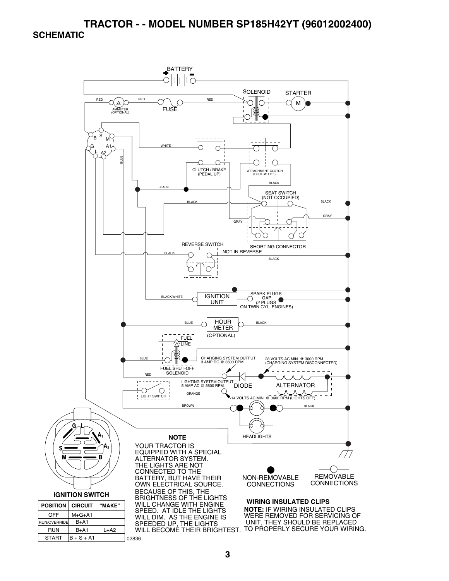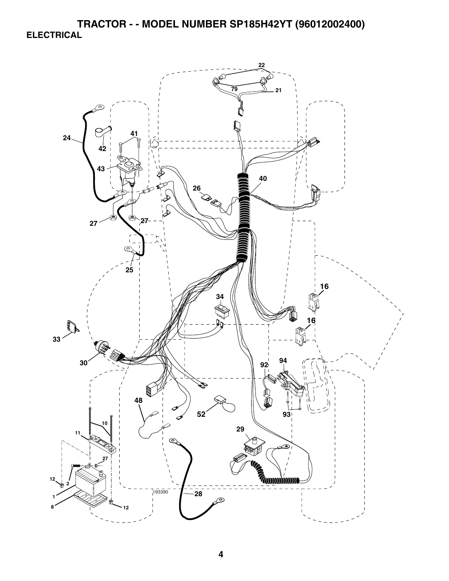**TRACTOR - - MODEL NUMBER SP185H42YT (96012002400) ELECTRICAL** 

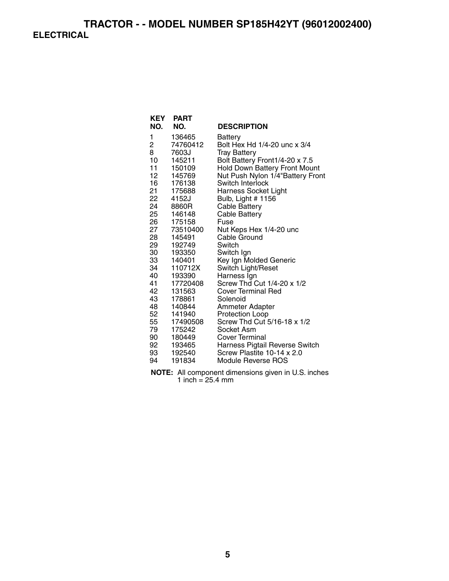### **TRACTOR - - MODEL NUMBER SP185H42YT (96012002400) ELECTRICAL**

| KEY      | <b>PART</b>      |                                            |
|----------|------------------|--------------------------------------------|
| NO.      | NO.              | <b>DESCRIPTION</b>                         |
| 1        | 136465           | Battery                                    |
| 2        | 74760412         | Bolt Hex Hd 1/4-20 unc x 3/4               |
| 8        | 7603J            | <b>Tray Battery</b>                        |
| 10       | 145211           | Bolt Battery Front1/4-20 x 7.5             |
| 11       | 150109           | Hold Down Battery Front Mount              |
| 12       | 145769           | Nut Push Nylon 1/4"Battery Front           |
| 16<br>21 | 176138<br>175688 | Switch Interlock                           |
| 22       | 4152J            | Harness Socket Light<br>Bulb, Light # 1156 |
| 24       | 8860R            | <b>Cable Battery</b>                       |
| 25       | 146148           | <b>Cable Battery</b>                       |
| 26       | 175158           | Fuse                                       |
| 27       | 73510400         | Nut Keps Hex 1/4-20 unc                    |
| 28       | 145491           | Cable Ground                               |
| 29       | 192749           | Switch                                     |
| 30       | 193350           | Switch Ign                                 |
| 33       | 140401           | Key Ign Molded Generic                     |
| 34       | 110712X          | Switch Light/Reset                         |
| 40       | 193390           | Harness Ign                                |
| 41       | 17720408         | Screw Thd Cut 1/4-20 x 1/2                 |
| 42       | 131563           | Cover Terminal Red                         |
| 43<br>48 | 178861<br>140844 | Solenoid                                   |
| 52       | 141940           | Ammeter Adapter<br>Protection Loop         |
| 55       | 17490508         | Screw Thd Cut 5/16-18 x 1/2                |
| 79       | 175242           | Socket Asm                                 |
| 90       | 180449           | Cover Terminal                             |
| 92       | 193465           | Harness Pigtail Reverse Switch             |
| 93       | 192540           | Screw Plastite 10-14 x 2.0                 |
| 94       | 191834           | Module Reverse ROS                         |
|          |                  |                                            |

**NOTE:** All component dimensions given in U.S. inches 1 inch = 25.4 mm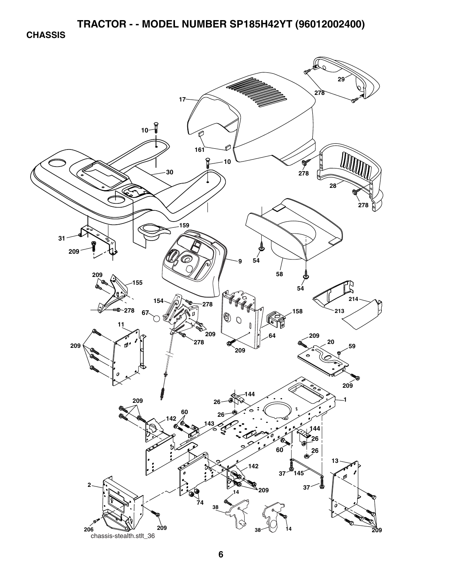**CHASSIS** 

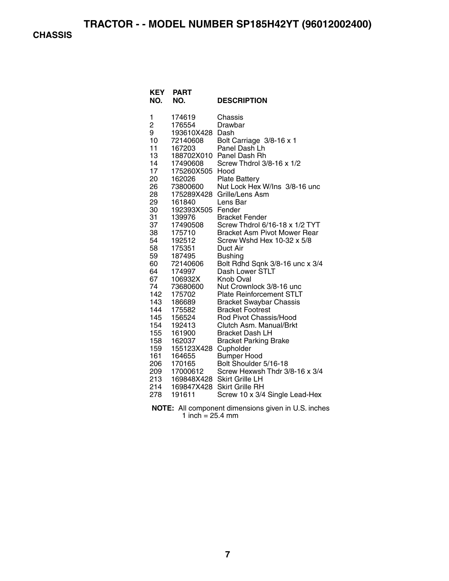**CHASSIS** 

| <b>KEY</b><br>NO. | <b>PART</b><br>NO. | <b>DESCRIPTION</b>                  |
|-------------------|--------------------|-------------------------------------|
| 1                 | 174619             | Chassis                             |
| $\overline{c}$    | 176554             | Drawbar                             |
| 9                 | 193610X428         | Dash                                |
| 10                | 72140608           | Bolt Carriage 3/8-16 x 1            |
| 11                | 167203             | Panel Dash Lh                       |
| 13                | 188702X010         | Panel Dash Rh                       |
| 14                | 17490608           | Screw Thdrol 3/8-16 x 1/2           |
| 17                | 175260X505         | Hood                                |
| 20                | 162026             | <b>Plate Battery</b>                |
| 26                | 73800600           | Nut Lock Hex W/Ins 3/8-16 unc       |
| 28                | 175289X428         | Grille/Lens Asm                     |
| 29                | 161840             | Lens Bar                            |
| 30                | 192393X505         | Fender                              |
| 31                | 139976             | <b>Bracket Fender</b>               |
| 37                | 17490508           | Screw Thdrol 6/16-18 x 1/2 TYT      |
| 38                | 175710             | <b>Bracket Asm Pivot Mower Rear</b> |
| 54                | 192512             | Screw Wshd Hex 10-32 x 5/8          |
| 58                | 175351             | Duct Air                            |
| 59                | 187495             | <b>Bushing</b>                      |
| 60                | 72140606           | Bolt Rdhd Sqnk 3/8-16 unc x 3/4     |
| 64                | 174997             | Dash Lower STLT                     |
| 67                | 106932X            | Knob Oval                           |
| 74                | 73680600           | Nut Crownlock 3/8-16 unc            |
| 142               | 175702             | <b>Plate Reinforcement STLT</b>     |
| 143               | 186689             | <b>Bracket Swaybar Chassis</b>      |
| 144               | 175582             | <b>Bracket Footrest</b>             |
| 145               | 156524             | Rod Pivot Chassis/Hood              |
| 154               | 192413             | Clutch Asm. Manual/Brkt             |
| 155               | 161900             | <b>Bracket Dash LH</b>              |
| 158               | 162037             | <b>Bracket Parking Brake</b>        |
| 159               | 155123X428         | Cupholder                           |
| 161               | 164655             | <b>Bumper Hood</b>                  |
| 206               | 170165             | Bolt Shoulder 5/16-18               |
| 209               | 17000612           | Screw Hexwsh Thdr 3/8-16 x 3/4      |
| 213               | 169848X428         | Skirt Grille LH                     |
| 214               | 169847X428         | <b>Skirt Grille RH</b>              |
| 278               | 191611             | Screw 10 x 3/4 Single Lead-Hex      |

**NOTE:** All component dimensions given in U.S. inches 1 inch  $= 25.4$  mm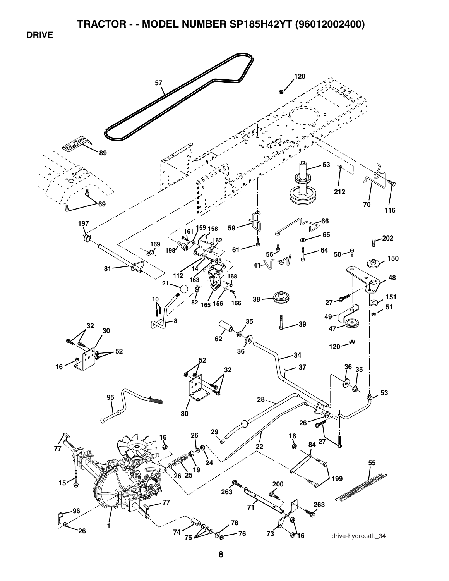**DRIVE** 

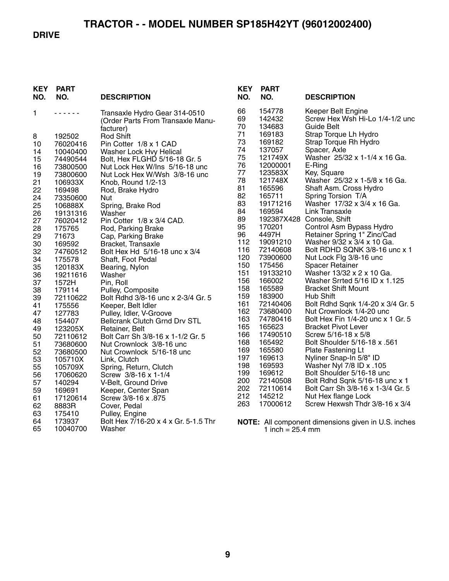#### **DRIVE**

| <b>KEY</b><br>NO. | <b>PART</b><br>NO.   | <b>DESCRIPTION</b>                                                              | <b>KEY</b><br>NO. | <b>PART</b><br>NO.         | <b>DESCRIPTION</b>                                                  |
|-------------------|----------------------|---------------------------------------------------------------------------------|-------------------|----------------------------|---------------------------------------------------------------------|
| 1                 | 222222               | Transaxle Hydro Gear 314-0510<br>(Order Parts From Transaxle Manu-<br>facturer) | 66<br>69<br>70    | 154778<br>142432<br>134683 | Keeper Belt Engine<br>Screw Hex Wsh Hi-Lo 1/4-1/2 unc<br>Guide Belt |
| 8                 | 192502               | <b>Rod Shift</b>                                                                | 71                | 169183                     | Strap Torque Lh Hydro                                               |
| 10                | 76020416             | Pin Cotter 1/8 x 1 CAD                                                          | 73                | 169182                     | Strap Torque Rh Hydro                                               |
| 14                | 10040400             | Washer Lock Hvy Helical                                                         | 74                | 137057                     | Spacer, Axle                                                        |
| 15                | 74490544             | Bolt, Hex FLGHD 5/16-18 Gr. 5                                                   | 75                | 121749X                    | Washer 25/32 x 1-1/4 x 16 Ga.                                       |
| 16                | 73800500             | Nut Lock Hex W/Ins 5/16-18 unc                                                  | 76                | 12000001                   | E-Ring                                                              |
| 19                | 73800600             | Nut Lock Hex W/Wsh 3/8-16 unc                                                   | 77                | 123583X                    | Key, Square                                                         |
| 21                | 106933X              | Knob, Round 1/2-13                                                              | 78                | 121748X                    | Washer 25/32 x 1-5/8 x 16 Ga.                                       |
| 22                | 169498               | Rod, Brake Hydro                                                                | 81                | 165596                     | Shaft Asm. Cross Hydro                                              |
| 24                | 73350600             | Nut                                                                             | 82                | 165711                     | Spring Torsion T/A                                                  |
| 25                | 106888X              | Spring, Brake Rod                                                               | 83                | 19171216                   | Washer 17/32 x 3/4 x 16 Ga.                                         |
| 26                | 19131316             | Washer                                                                          | 84                | 169594                     | Link Transaxle                                                      |
| 27                | 76020412             | Pin Cotter 1/8 x 3/4 CAD.                                                       | 89                |                            | 192387X428 Console, Shift                                           |
| 28                | 175765               | Rod, Parking Brake                                                              | 95                | 170201                     | Control Asm Bypass Hydro                                            |
| 29                | 71673                | Cap, Parking Brake                                                              | 96                | 4497H                      | Retainer Spring 1" Zinc/Cad                                         |
| 30                | 169592               | Bracket, Transaxle                                                              | 112               | 19091210                   | Washer 9/32 x 3/4 x 10 Ga.                                          |
| 32                | 74760512             | Bolt Hex Hd 5/16-18 unc x 3/4                                                   | 116               | 72140608                   | Bolt RDHD SQNK 3/8-16 unc x 1                                       |
| 34                | 175578               | Shaft, Foot Pedal                                                               | 120<br>150        | 73900600                   | Nut Lock Flg 3/8-16 unc                                             |
| 35                | 120183X              | Bearing, Nylon                                                                  | 151               | 175456<br>19133210         | <b>Spacer Retainer</b>                                              |
| 36                | 19211616             | Washer                                                                          | 156               | 166002                     | Washer 13/32 x 2 x 10 Ga.<br>Washer Srrted 5/16 ID x 1.125          |
| 37                | 1572H                | Pin, Roll                                                                       | 158               | 165589                     | <b>Bracket Shift Mount</b>                                          |
| 38                | 179114               | Pulley, Composite                                                               | 159               | 183900                     | <b>Hub Shift</b>                                                    |
| 39                | 72110622             | Bolt Rdhd 3/8-16 unc x 2-3/4 Gr. 5                                              | 161               | 72140406                   | Bolt Rdhd Sqnk 1/4-20 x 3/4 Gr. 5                                   |
| 41                | 175556               | Keeper, Belt Idler                                                              | 162               | 73680400                   | Nut Crownlock 1/4-20 unc                                            |
| 47                | 127783               | Pulley, Idler, V-Groove                                                         | 163               | 74780416                   | Bolt Hex Fin 1/4-20 unc x 1 Gr. 5                                   |
| 48                | 154407               | <b>Bellcrank Clutch Grnd Drv STL</b>                                            | 165               | 165623                     | <b>Bracket Pivot Lever</b>                                          |
| 49<br>50          | 123205X              | Retainer, Belt                                                                  | 166               | 17490510                   | Screw 5/16-18 x 5/8                                                 |
| 51                | 72110612<br>73680600 | Bolt Carr Sh 3/8-16 x 1-1/2 Gr. 5<br>Nut Crownlock 3/8-16 unc                   | 168               | 165492                     | Bolt Shoulder 5/16-18 x .561                                        |
| 52                | 73680500             | Nut Crownlock 5/16-18 unc                                                       | 169               | 165580                     | Plate Fastening Lt                                                  |
| 53                | 105710X              | Link, Clutch                                                                    | 197               | 169613                     | Nyliner Snap-In 5/8" ID                                             |
| 55                | 105709X              | Spring, Return, Clutch                                                          | 198               | 169593                     | Washer Nyl 7/8 ID x .105                                            |
| 56                | 17060620             | Screw 3/8-16 x 1-1/4                                                            | 199               | 169612                     | Bolt Shoulder 5/16-18 unc                                           |
| 57                | 140294               | V-Belt, Ground Drive                                                            | 200               | 72140508                   | Bolt Rdhd Sqnk 5/16-18 unc x 1                                      |
| 59                | 169691               | Keeper, Center Span                                                             | 202               | 72110614                   | Bolt Carr Sh 3/8-16 x 1-3/4 Gr. 5                                   |
| 61                | 17120614             | Screw 3/8-16 x .875                                                             | 212               | 145212                     | Nut Hex flange Lock                                                 |
| 62                | 8883R                | Cover, Pedal                                                                    | 263               | 17000612                   | Screw Hexwsh Thdr 3/8-16 x 3/4                                      |
| 63                | 175410               | Pulley, Engine                                                                  |                   |                            |                                                                     |
| 64                | 173937               | Bolt Hex 7/16-20 x 4 x Gr. 5-1.5 Thr                                            |                   |                            | NOTE: All component dimensions given in U.S. inches                 |
| 65                | 10040700             | Washer                                                                          |                   | 1 inch = $25.4$ mm         |                                                                     |
|                   |                      |                                                                                 |                   |                            |                                                                     |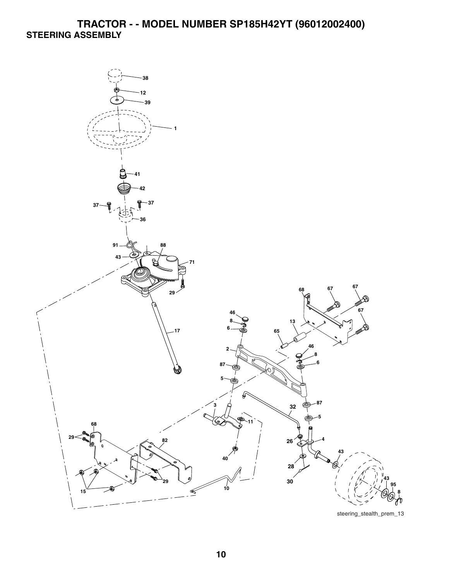## **TRACTOR - - MODEL NUMBER SP185H42YT (96012002400) STEERING ASSEMBLY**

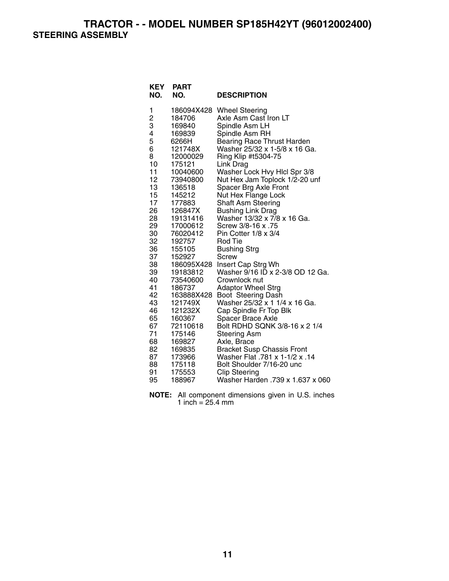**TRACTOR - - MODEL NUMBER SP185H42YT (96012002400) STEERING ASSEMBLY** 

| KEY<br>NO.  | <b>PART</b><br>NO.   | <b>DESCRIPTION</b>                                   |
|-------------|----------------------|------------------------------------------------------|
| 1<br>2<br>3 | 186094X428<br>184706 | <b>Wheel Steering</b><br>Axle Asm Cast Iron LT       |
|             | 169840               | Spindle Asm LH                                       |
| 4           | 169839               | Spindle Asm RH                                       |
| 5<br>6      | 6266H                | Bearing Race Thrust Harden                           |
| 8           | 121748X<br>12000029  | Washer 25/32 x 1-5/8 x 16 Ga.<br>Ring Klip #t5304-75 |
| 10          | 175121               | Link Drag                                            |
| 11          | 10040600             | Washer Lock Hvy Hlcl Spr 3/8                         |
| 12          | 73940800             | Nut Hex Jam Toplock 1/2-20 unf                       |
| 13          | 136518               | Spacer Brg Axle Front                                |
| 15          | 145212               | Nut Hex Flange Lock                                  |
| 17          | 177883               | Shaft Asm Steering                                   |
| 26          | 126847X              | <b>Bushing Link Drag</b>                             |
| 28          | 19131416             | Washer 13/32 x 7/8 x 16 Ga.                          |
| 29<br>30    | 17000612<br>76020412 | Screw 3/8-16 x .75<br>Pin Cotter $1/8 \times 3/4$    |
| 32          | 192757               | Rod Tie                                              |
| 36          | 155105               | <b>Bushing Strg</b>                                  |
| 37          | 152927               | Screw                                                |
| 38          | 186095X428           | Insert Cap Strg Wh                                   |
| 39          | 19183812             | Washer 9/16 ID x 2-3/8 OD 12 Ga.                     |
| 40          | 73540600             | Crownlock nut                                        |
| 41          | 186737               | <b>Adaptor Wheel Strg</b>                            |
| 42          | 163888X428           | Boot Steering Dash                                   |
| 43          | 121749X              | Washer 25/32 x 1 1/4 x 16 Ga.                        |
| 46<br>65    | 121232X<br>160367    | Cap Spindle Fr Top Blk<br><b>Spacer Brace Axle</b>   |
| 67          | 72110618             | Bolt RDHD SQNK 3/8-16 x 2 1/4                        |
| 71          | 175146               | <b>Steering Asm</b>                                  |
| 68          | 169827               | Axle, Brace                                          |
| 82          | 169835               | <b>Bracket Susp Chassis Front</b>                    |
| 87          | 173966               | 14. Washer Flat .781 x 1-1/2 x                       |
| 88          | 175118               | Bolt Shoulder 7/16-20 unc                            |
| 91          | 175553               | <b>Clip Steering</b>                                 |
| 95          | 188967               | Washer Harden .739 x 1.637 x 060                     |

**NOTE:** All component dimensions given in U.S. inches 1 inch =  $25.4 \, \text{mm}$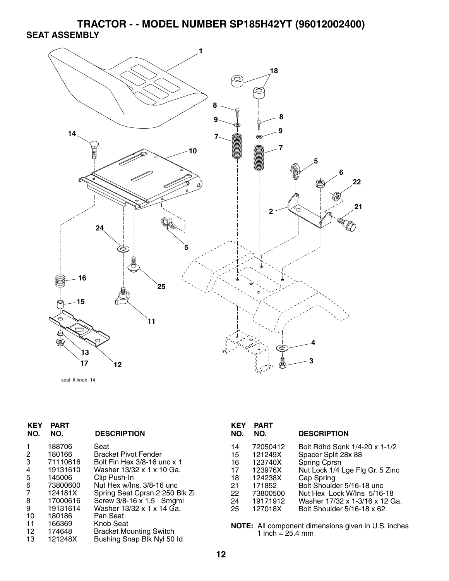**TRACTOR - - MODEL NUMBER SP185H42YT (96012002400) SEAT ASSEMBLY** 



seat\_lt.knob\_14

| <b>KEY</b><br>NO.                                 | <b>PART</b><br>NO.                                                                                                              | <b>DESCRIPTION</b>                                                                                                                                                                                                                                                                                 | <b>KEY</b><br>NO.                                  | <b>PART</b><br>NO.                                                                                | <b>DESCRIPTION</b>                                                                                                                                                                                                                                                                                      |
|---------------------------------------------------|---------------------------------------------------------------------------------------------------------------------------------|----------------------------------------------------------------------------------------------------------------------------------------------------------------------------------------------------------------------------------------------------------------------------------------------------|----------------------------------------------------|---------------------------------------------------------------------------------------------------|---------------------------------------------------------------------------------------------------------------------------------------------------------------------------------------------------------------------------------------------------------------------------------------------------------|
| 2<br>3<br>4<br>5<br>6<br>8<br>9<br>10<br>11<br>12 | 188706<br>180166<br>71110616<br>19131610<br>145006<br>73800600<br>124181X<br>17000616<br>19131614<br>180186<br>166369<br>174648 | Seat<br><b>Bracket Pivot Fender</b><br>Bolt Fin Hex 3/8-16 unc x 1<br>Washer 13/32 x 1 x 10 Ga.<br>Clip Push-In<br>Nut Hex w/Ins. 3/8-16 unc<br>Spring Seat Cprsn 2 250 Blk Zi<br>Screw 3/8-16 x 1.5 Smgml<br>Washer 13/32 x 1 x 14 Ga.<br>Pan Seat<br>Knob Seat<br><b>Bracket Mounting Switch</b> | 14<br>15<br>16<br>17<br>18<br>21<br>22<br>24<br>25 | 72050412<br>121249X<br>123740X<br>123976X<br>124238X<br>171852<br>73800500<br>19171912<br>127018X | Bolt Rdhd Sqnk 1/4-20 x 1-1/2<br>Spacer Split 28x 88<br>Spring Cprsn<br>Nut Lock 1/4 Lge Flg Gr. 5 Zinc<br>Cap Spring<br>Bolt Shoulder 5/16-18 unc<br>Nut Hex Lock W/Ins 5/16-18<br>Washer 17/32 x 1-3/16 x 12 Ga.<br>Bolt Shoulder 5/16-18 x 62<br>NOTE: All component dimensions given in U.S. inches |
| 13                                                | 121248X                                                                                                                         | Bushing Snap Blk Nyl 50 ld                                                                                                                                                                                                                                                                         |                                                    | 1 inch = $25.4$ mm                                                                                |                                                                                                                                                                                                                                                                                                         |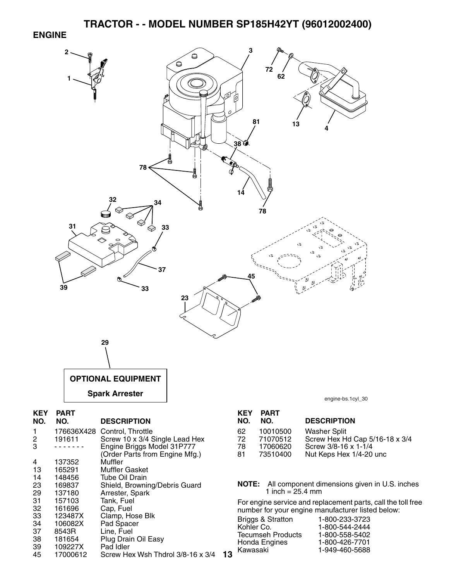### **ENGINE**



| Screw 10 x 3/4 Single Lead Hex          |
|-----------------------------------------|
|                                         |
| (Order Parts from Engine Mfg.)          |
|                                         |
|                                         |
|                                         |
| Shield, Browning/Debris Guard           |
|                                         |
|                                         |
|                                         |
|                                         |
|                                         |
|                                         |
|                                         |
|                                         |
| 13<br>Screw Hex Wsh Thdrol 3/8-16 x 3/4 |
|                                         |

| 62 | 10010500 | <b>Washer Split</b>            |
|----|----------|--------------------------------|
| 72 | 71070512 | Screw Hex Hd Cap 5/16-18 x 3/4 |
| 78 | 17060620 | Screw 3/8-16 x 1-1/4           |
| 81 | 73510400 | Nut Keps Hex 1/4-20 unc        |

**NOTE:** All component dimensions given in U.S. inches 1 inch = 25.4 mm

For engine service and replacement parts, call the toll free number for your engine manufacturer listed below:

| <b>Briggs &amp; Stratton</b> | 1-800-233-3723 |
|------------------------------|----------------|
| Kohler Co.                   | 1-800-544-2444 |
| <b>Tecumseh Products</b>     | 1-800-558-5402 |
| Honda Engines                | 1-800-426-7701 |
| Kawasaki                     | 1-949-460-5688 |
|                              |                |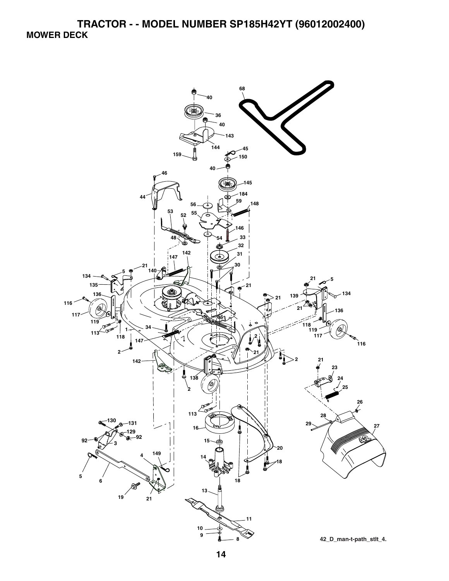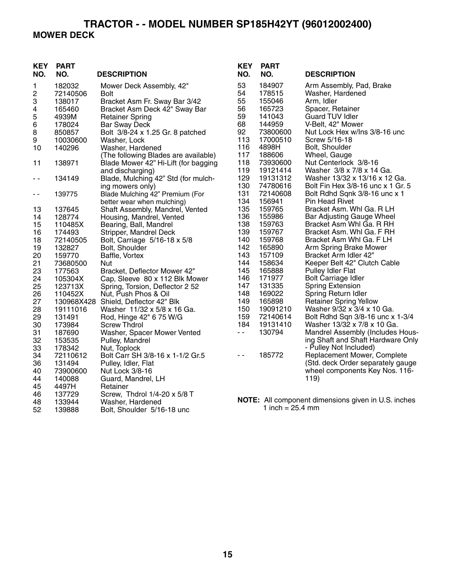## **TRACTOR - - MODEL NUMBER SP185H42YT (96012002400) MOWER DECK**

| <b>KEY</b><br>NO. | <b>PART</b><br>NO. | <b>DESCRIPTION</b>                   | <b>KEY</b><br>NO.        | <b>PART</b><br>NO.         | <b>DESCRIPTION</b>                                         |
|-------------------|--------------------|--------------------------------------|--------------------------|----------------------------|------------------------------------------------------------|
| 1                 | 182032             | Mower Deck Assembly, 42"             | 53                       | 184907                     | Arm Assembly, Pad, Brake                                   |
| 2                 | 72140506           | Bolt                                 | 54                       | 178515                     | Washer, Hardened                                           |
| 3                 | 138017             | Bracket Asm Fr. Sway Bar 3/42        | 55                       | 155046                     | Arm, Idler                                                 |
| 4                 | 165460             | Bracket Asm Deck 42" Sway Bar        | 56                       | 165723                     | Spacer, Retainer                                           |
| 5                 | 4939M              | <b>Retainer Spring</b>               | 59                       | 141043                     | <b>Guard TUV Idler</b>                                     |
| 6                 | 178024             | <b>Bar Sway Deck</b>                 | 68                       | 144959                     | V-Belt, 42" Mower                                          |
| 8                 | 850857             | Bolt 3/8-24 x 1.25 Gr. 8 patched     | 92                       | 73800600                   | Nut Lock Hex w/Ins 3/8-16 unc                              |
| 9                 | 10030600           | Washer, Lock                         | 113                      | 17000510                   | Screw 5/16-18                                              |
| 10                | 140296             | Washer, Hardened                     | 116                      | 4898H                      | Bolt, Shoulder                                             |
|                   |                    | (The following Blades are available) | 117                      | 188606                     | Wheel, Gauge                                               |
| 11                | 138971             | Blade Mower 42" Hi-Lift (for bagging | 118                      | 73930600                   | Nut Centerlock 3/8-16                                      |
|                   |                    | and discharging)                     | 119                      | 19121414                   | Washer 3/8 x 7/8 x 14 Ga.                                  |
| - -               | 134149             | Blade, Mulching 42" Std (for mulch-  | 129                      | 19131312                   | Washer 13/32 x 13/16 x 12 Ga.                              |
|                   |                    | ing mowers only)                     | 130                      | 74780616                   | Bolt Fin Hex 3/8-16 unc x 1 Gr. 5                          |
| $ -$              | 139775             | Blade Mulching 42" Premium (For      | 131                      | 72140608                   | Bolt Rdhd Sqnk 3/8-16 unc x 1                              |
|                   |                    | better wear when mulching)           | 134                      | 156941                     | <b>Pin Head Rivet</b>                                      |
| 13                | 137645             | Shaft Assembly, Mandrel, Vented      | 135                      | 159765                     | Bracket Asm. Whl Ga. R LH                                  |
| 14                | 128774             | Housing, Mandrel, Vented             | 136                      | 155986                     | Bar Adjusting Gauge Wheel                                  |
| 15                | 110485X            | Bearing, Ball, Mandrel               | 138                      | 159763                     | Bracket Asm Whl Ga. R RH                                   |
| 16                | 174493             | Stripper, Mandrel Deck               | 139<br>140               | 159767<br>159768           | Bracket Asm. Whi Ga. F RH<br>Bracket Asm Whl Ga. F LH      |
| 18<br>19          | 72140505           | Bolt, Carriage 5/16-18 x 5/8         | 142                      | 165890                     |                                                            |
| 20                | 132827<br>159770   | Bolt, Shoulder                       | 143                      | 157109                     | Arm Spring Brake Mower<br>Bracket Arm Idler 42"            |
| 21                | 73680500           | Baffle, Vortex<br><b>Nut</b>         | 144                      | 158634                     | Keeper Belt 42" Clutch Cable                               |
| 23                | 177563             | Bracket, Deflector Mower 42"         | 145                      | 165888                     | Pulley Idler Flat                                          |
| 24                | 105304X            | Cap, Sleeve 80 x 112 Blk Mower       | 146                      | 171977                     | <b>Bolt Carriage Idler</b>                                 |
| 25                | 123713X            | Spring, Torsion, Deflector 2 52      | 147                      | 131335                     | <b>Spring Extension</b>                                    |
| 26                | 110452X            | Nut, Push Phos & Oil                 | 148                      | 169022                     | Spring Return Idler                                        |
| 27                |                    | 130968X428 Shield, Deflector 42" Blk | 149                      | 165898                     | <b>Retainer Spring Yellow</b>                              |
| 28                | 19111016           | Washer 11/32 x 5/8 x 16 Ga.          | 150                      | 19091210                   | Washer 9/32 x 3/4 x 10 Ga.                                 |
| 29                | 131491             | Rod, Hinge 42" 6 75 W/G              | 159                      | 72140614                   | Bolt Rdhd Sqn 3/8-16 unc x 1-3/4                           |
| 30                | 173984             | <b>Screw Thdrol</b>                  | 184                      | 19131410                   | Washer 13/32 x 7/8 x 10 Ga.                                |
| 31                | 187690             | Washer, Spacer Mower Vented          | $\sim$ $-$               | 130794                     | Mandrel Assembly (Includes Hous-                           |
| 32                | 153535             | Pulley, Mandrel                      |                          |                            | ing Shaft and Shaft Hardware Only                          |
| 33                | 178342             | Nut, Toplock                         |                          |                            | - Pulley Not Included)                                     |
| 34                | 72110612           | Bolt Carr SH 3/8-16 x 1-1/2 Gr.5     | $\overline{\phantom{a}}$ | 185772                     | Replacement Mower, Complete                                |
| 36                | 131494             | Pulley, Idler, Flat                  |                          |                            | (Std. deck Order separately gauge                          |
| 40                | 73900600           | Nut Lock 3/8-16                      |                          |                            | wheel components Key Nos. 116-                             |
| 44                | 140088             | Guard, Mandrel, LH                   |                          |                            | 119)                                                       |
| 45                | 4497H              | Retainer                             |                          |                            |                                                            |
| 46                | 137729             | Screw, Thdrol 1/4-20 x 5/8 T         |                          |                            |                                                            |
| 48                | 133944             | Washer, Hardened                     |                          |                            | <b>NOTE:</b> All component dimensions given in U.S. inches |
| 52                | 139888             | Bolt, Shoulder 5/16-18 unc           |                          | 1 inch = $25.4 \text{ mm}$ |                                                            |